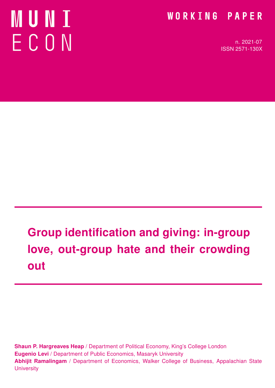# **MUNT** ECON

### WORKING PAPER

n. 2021-07 ISSN 2571-130X

# Group identification and giving: in-group love, out-group hate and their crowding out

Shaun P. Hargreaves Heap / Department of Political Economy, King's College London Eugenio Levi / Department of Public Economics, Masaryk University Abhijit Ramalingam / Department of Economics, Walker College of Business, Appalachian State **University**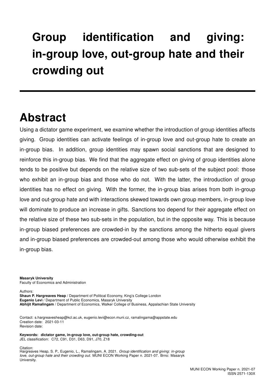## Group identification and giving: in-group love, out-group hate and their crowding out

### Abstract

Using a dictator game experiment, we examine whether the introduction of group identities affects giving. Group identities can activate feelings of in-group love and out-group hate to create an in-group bias. In addition, group identities may spawn social sanctions that are designed to reinforce this in-group bias. We find that the aggregate effect on giving of group identities alone tends to be positive but depends on the relative size of two sub-sets of the subject pool: those who exhibit an in-group bias and those who do not. With the latter, the introduction of group identities has no effect on giving. With the former, the in-group bias arises from both in-group love and out-group hate and with interactions skewed towards own group members, in-group love will dominate to produce an increase in gifts. Sanctions too depend for their aggregate effect on the relative size of these two sub-sets in the population, but in the opposite way. This is because in-group biased preferences are crowded-in by the sanctions among the hitherto equal givers and in-group biased preferences are crowded-out among those who would otherwise exhibit the in-group bias.

Masaryk University Faculty of Economics and Administration

Authors:

Shaun P. Hargreaves Heap / Department of Political Economy, King's College London Eugenio Levi / Department of Public Economics, Masaryk University Abhijit Ramalingam / Department of Economics, Walker College of Business, Appalachian State University

Contact: s.hargreavesheap@kcl.ac.uk, eugenio.levi@econ.muni.cz, ramalingama@appstate.edu Creation date: 2021-03-11 Revision date:

Keywords: dictator game, in-group love, out-group hate, crowding-out JEL classification: C72, C91, D31, D63, D91, J70, Z18

Citation: Hargreaves Heap, S. P., Eugenio, L., Ramalingam, A. 2021. Group identification and giving: in-group love, out-group hate and their crowding out. MUNI ECON Working Paper n. 2021-07. Brno: Masaryk University.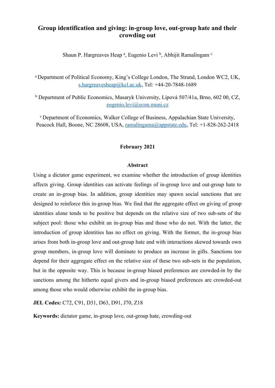#### **Group identification and giving: in-group love, out-group hate and their crowding out**

Shaun P. Hargreaves Heap<sup>a</sup>, Eugenio Levi<sup>b</sup>, Abhijit Ramalingam<sup>e</sup>

<sup>a</sup>Department of Political Economy, King's College London, The Strand, London WC2, UK, s.hargreavesheap@kcl.ac.uk, Tel: +44-20-7848-1689

b Department of Public Economics, Masaryk University, Lipová 507/41a, Brno, 602 00, CZ, eugenio.levi@econ.muni.cz

<sup>c</sup>Department of Economics, Walker College of Business, Appalachian State University, Peacock Hall, Boone, NC 28608, USA, ramalingama@appstate.edu, Tel: +1-828-262-2418

#### **February 2021**

#### **Abstract**

Using a dictator game experiment, we examine whether the introduction of group identities affects giving. Group identities can activate feelings of in-group love and out-group hate to create an in-group bias. In addition, group identities may spawn social sanctions that are designed to reinforce this in-group bias. We find that the aggregate effect on giving of group identities alone tends to be positive but depends on the relative size of two sub-sets of the subject pool: those who exhibit an in-group bias and those who do not. With the latter, the introduction of group identities has no effect on giving. With the former, the in-group bias arises from both in-group love and out-group hate and with interactions skewed towards own group members, in-group love will dominate to produce an increase in gifts. Sanctions too depend for their aggregate effect on the relative size of these two sub-sets in the population, but in the opposite way. This is because in-group biased preferences are crowded-in by the sanctions among the hitherto equal givers and in-group biased preferences are crowded-out among those who would otherwise exhibit the in-group bias.

**JEL Codes:** C72, C91, D31, D63, D91, J70, Z18

**Keywords:** dictator game, in-group love, out-group hate, crowding-out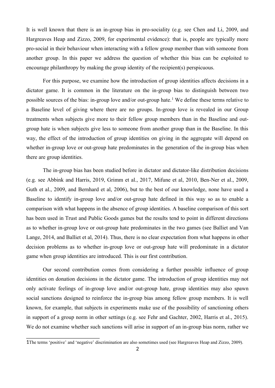It is well known that there is an in-group bias in pro-sociality (e.g. see Chen and Li, 2009, and Hargreaves Heap and Zizzo, 2009, for experimental evidence): that is, people are typically more pro-social in their behaviour when interacting with a fellow group member than with someone from another group. In this paper we address the question of whether this bias can be exploited to encourage philanthropy by making the group identity of the recipient(s) perspicuous.

For this purpose, we examine how the introduction of group identities affects decisions in a dictator game. It is common in the literature on the in-group bias to distinguish between two possible sources of the bias: in-group love and/or out-group hate.<sup>1</sup> We define these terms relative to a Baseline level of giving where there are no groups. In-group love is revealed in our Group treatments when subjects give more to their fellow group members than in the Baseline and outgroup hate is when subjects give less to someone from another group than in the Baseline. In this way, the effect of the introduction of group identities on giving in the aggregate will depend on whether in-group love or out-group hate predominates in the generation of the in-group bias when there are group identities.

The in-group bias has been studied before in dictator and dictator-like distribution decisions (e.g. see Abbink and Harris, 2019, Grimm et al., 2017, Mifune et al, 2010, Ben-Ner et al., 2009, Guth et al., 2009, and Bernhard et al, 2006), but to the best of our knowledge, none have used a Baseline to identify in-group love and/or out-group hate defined in this way so as to enable a comparison with what happens in the absence of group identities. A baseline comparison of this sort has been used in Trust and Public Goods games but the results tend to point in different directions as to whether in-group love or out-group hate predominates in the two games (see Balliet and Van Lange, 2014, and Balliet et al, 2014). Thus, there is no clear expectation from what happens in other decision problems as to whether in-group love or out-group hate will predominate in a dictator game when group identities are introduced. This is our first contribution.

Our second contribution comes from considering a further possible influence of group identities on donation decisions in the dictator game. The introduction of group identities may not only activate feelings of in-group love and/or out-group hate, group identities may also spawn social sanctions designed to reinforce the in-group bias among fellow group members. It is well known, for example, that subjects in experiments make use of the possibility of sanctioning others in support of a group norm in other settings (e.g. see Fehr and Gachter, 2002, Harris et al., 2015). We do not examine whether such sanctions will arise in support of an in-group bias norm, rather we

<sup>1</sup>The terms 'positive' and 'negative' discrimination are also sometimes used (see Hargreaves Heap and Zizzo, 2009).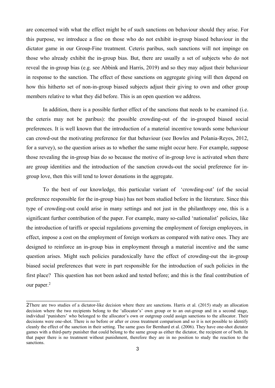are concerned with what the effect might be of such sanctions on behaviour should they arise. For this purpose, we introduce a fine on those who do not exhibit in-group biased behaviour in the dictator game in our Group-Fine treatment. Ceteris paribus, such sanctions will not impinge on those who already exhibit the in-group bias. But, there are usually a set of subjects who do not reveal the in-group bias (e.g. see Abbink and Harris, 2019) and so they may adjust their behaviour in response to the sanction. The effect of these sanctions on aggregate giving will then depend on how this hitherto set of non-in-group biased subjects adjust their giving to own and other group members relative to what they did before. This is an open question we address.

In addition, there is a possible further effect of the sanctions that needs to be examined (i.e. the ceteris may not be paribus): the possible crowding-out of the in-grouped biased social preferences. It is well known that the introduction of a material incentive towards some behaviour can crowd-out the motivating preference for that behaviour (see Bowles and Polania-Reyes, 2012, for a survey), so the question arises as to whether the same might occur here. For example, suppose those revealing the in-group bias do so because the motive of in-group love is activated when there are group identities and the introduction of the sanction crowds-out the social preference for ingroup love, then this will tend to lower donations in the aggregate.

To the best of our knowledge, this particular variant of 'crowding-out' (of the social preference responsible for the in-group bias) has not been studied before in the literature. Since this type of crowding-out could arise in many settings and not just in the philanthropy one, this is a significant further contribution of the paper. For example, many so-called 'nationalist' policies, like the introduction of tariffs or special regulations governing the employment of foreign employees, in effect, impose a cost on the employment of foreign workers as compared with native ones. They are designed to reinforce an in-group bias in employment through a material incentive and the same question arises. Might such policies paradoxically have the effect of crowding-out the in-group biased social preferences that were in part responsible for the introduction of such policies in the first place? This question has not been asked and tested before; and this is the final contribution of our paper.<sup>2</sup>

<sup>2</sup>There are two studies of a dictator-like decision where there are sanctions. Harris et al. (2015) study an allocation decision where the two recipients belong to the 'allocator's' own group or to an out-group and in a second stage, individual 'punishers' who belonged to the allocator's own or outgroup could assign sanctions to the allocator. Their decisions were one-shot. There is no before or after or cross treatment comparison and so it is not possible to identify cleanly the effect of the sanction in their setting. The same goes for Bernhard et al. (2006). They have one-shot dictator games with a third-party punisher that could belong to the same group as either the dictator, the recipient or of both. In that paper there is no treatment without punishment, therefore they are in no position to study the reaction to the sanctions.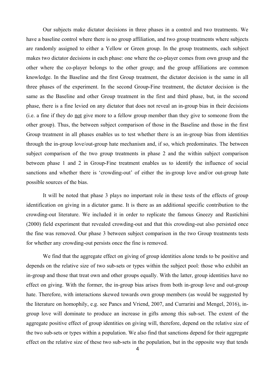Our subjects make dictator decisions in three phases in a control and two treatments. We have a baseline control where there is no group affiliation, and two group treatments where subjects are randomly assigned to either a Yellow or Green group. In the group treatments, each subject makes two dictator decisions in each phase: one where the co-player comes from own group and the other where the co-player belongs to the other group; and the group affiliations are common knowledge. In the Baseline and the first Group treatment, the dictator decision is the same in all three phases of the experiment. In the second Group-Fine treatment, the dictator decision is the same as the Baseline and other Group treatment in the first and third phase, but, in the second phase, there is a fine levied on any dictator that does not reveal an in-group bias in their decisions (i.e. a fine if they do not give more to a fellow group member than they give to someone from the other group). Thus, the between subject comparison of those in the Baseline and those in the first Group treatment in all phases enables us to test whether there is an in-group bias from identities through the in-group love/out-group hate mechanism and, if so, which predominates. The between subject comparison of the two group treatments in phase 2 and the within subject comparison between phase 1 and 2 in Group-Fine treatment enables us to identify the influence of social sanctions and whether there is 'crowding-out' of either the in-group love and/or out-group hate possible sources of the bias.

It will be noted that phase 3 plays no important role in these tests of the effects of group identification on giving in a dictator game. It is there as an additional specific contribution to the crowding-out literature. We included it in order to replicate the famous Gneezy and Rustichini (2000) field experiment that revealed crowding-out and that this crowding-out also persisted once the fine was removed. Our phase 3 between subject comparison in the two Group treatments tests for whether any crowding-out persists once the fine is removed.

We find that the aggregate effect on giving of group identities alone tends to be positive and depends on the relative size of two sub-sets or types within the subject pool: those who exhibit an in-group and those that treat own and other groups equally. With the latter, group identities have no effect on giving. With the former, the in-group bias arises from both in-group love and out-group hate. Therefore, with interactions skewed towards own group members (as would be suggested by the literature on homophily, e.g. see Pancs and Vriend, 2007, and Currarini and Mengel, 2016), ingroup love will dominate to produce an increase in gifts among this sub-set. The extent of the aggregate positive effect of group identities on giving will, therefore, depend on the relative size of the two sub-sets or types within a population. We also find that sanctions depend for their aggregate effect on the relative size of these two sub-sets in the population, but in the opposite way that tends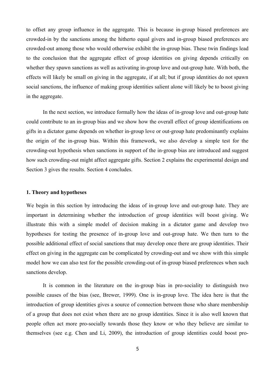to offset any group influence in the aggregate. This is because in-group biased preferences are crowded-in by the sanctions among the hitherto equal givers and in-group biased preferences are crowded-out among those who would otherwise exhibit the in-group bias. These twin findings lead to the conclusion that the aggregate effect of group identities on giving depends critically on whether they spawn sanctions as well as activating in-group love and out-group hate. With both, the effects will likely be small on giving in the aggregate, if at all; but if group identities do not spawn social sanctions, the influence of making group identities salient alone will likely be to boost giving in the aggregate.

In the next section, we introduce formally how the ideas of in-group love and out-group hate could contribute to an in-group bias and we show how the overall effect of group identifications on gifts in a dictator game depends on whether in-group love or out-group hate predominantly explains the origin of the in-group bias. Within this framework, we also develop a simple test for the crowding-out hypothesis when sanctions in support of the in-group bias are introduced and suggest how such crowding-out might affect aggregate gifts. Section 2 explains the experimental design and Section 3 gives the results. Section 4 concludes.

#### **1. Theory and hypotheses**

We begin in this section by introducing the ideas of in-group love and out-group hate. They are important in determining whether the introduction of group identities will boost giving. We illustrate this with a simple model of decision making in a dictator game and develop two hypotheses for testing the presence of in-group love and out-group hate. We then turn to the possible additional effect of social sanctions that may develop once there are group identities. Their effect on giving in the aggregate can be complicated by crowding-out and we show with this simple model how we can also test for the possible crowding-out of in-group biased preferences when such sanctions develop.

It is common in the literature on the in-group bias in pro-sociality to distinguish two possible causes of the bias (see, Brewer, 1999). One is in-group love. The idea here is that the introduction of group identities gives a source of connection between those who share membership of a group that does not exist when there are no group identities. Since it is also well known that people often act more pro-socially towards those they know or who they believe are similar to themselves (see e.g. Chen and Li, 2009), the introduction of group identities could boost pro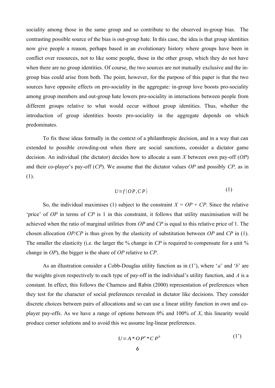sociality among those in the same group and so contribute to the observed in-group bias. The contrasting possible source of the bias is out-group hate. In this case, the idea is that group identities now give people a reason, perhaps based in an evolutionary history where groups have been in conflict over resources, not to like some people, those in the other group, which they do not have when there are no group identities. Of course, the two sources are not mutually exclusive and the ingroup bias could arise from both. The point, however, for the purpose of this paper is that the two sources have opposite effects on pro-sociality in the aggregate: in-group love boosts pro-sociality among group members and out-group hate lowers pro-sociality in interactions between people from different groups relative to what would occur without group identities. Thus, whether the introduction of group identities boosts pro-sociality in the aggregate depends on which predominates.

To fix these ideas formally in the context of a philanthropic decision, and in a way that can extended to possible crowding-out when there are social sanctions, consider a dictator game decision. An individual (the dictator) decides how to allocate a sum *X* between own pay-off (*OP*) and their co-player's pay-off (*CP*). We assume that the dictator values *OP* and possibly *CP,* as in (1).

$$
U = f(OP, CP) \tag{1}
$$

So, the individual maximises (1) subject to the constraint  $X = OP + CP$ . Since the relative 'price' of *OP* in terms of *CP* is 1 in this constraint, it follows that utility maximisation will be achieved when the ratio of marginal utilities from *OP* and *CP* is equal to this relative price of 1. The chosen allocation *OP/CP* is thus given by the elasticity of substitution between *OP* and *CP* in (1). The smaller the elasticity (i.e. the larger the % change in *CP* is required to compensate for a unit % change in *OP*), the bigger is the share of *OP* relative to *CP*.

As an illustration consider a Cobb-Douglas utility function as in (1'), where '*a*' and '*b*' are the weights given respectively to each type of pay-off in the individual's utility function, and *A* is a constant. In effect, this follows the Charness and Rabin (2000) representation of preferences when they test for the character of social preferences revealed in dictator like decisions. They consider discrete choices between pairs of allocations and so can use a linear utility function in own and coplayer pay-offs. As we have a range of options between 0% and 100% of *X*, this linearity would produce corner solutions and to avoid this we assume log-linear preferences.

$$
U = A \ast OP^a \ast CP^b \tag{1'}
$$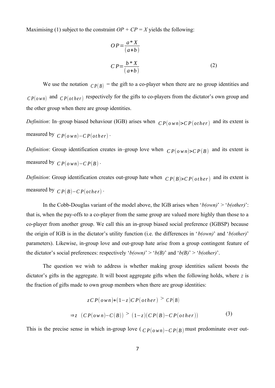Maximising (1) subject to the constraint  $OP + CP = X$  yields the following:

$$
OP = \frac{a * X}{(a+b)}
$$
  

$$
CP = \frac{b * X}{(a+b)}
$$
 (2)

We use the notation  $\binom{P}{B}$  = the gift to a co-player when there are no group identities and  $CP(own)$  and  $CP(other)$  respectively for the gifts to co-players from the dictator's own group and the other group when there are group identities.

*Definition*: In–group biased behaviour (IGB) arises when  $\mathbb{CP}(o \le n) > \mathbb{CP}(o \le n)$  and its extent is measured by  $\mathbb{C}P(own) - \mathbb{C}P(other)$ .

*Definition*: Group identification creates in–group love when  $\mathbb{C}P(o \le n)$  >  $\mathbb{C}P(B)$  and its extent is measured by  $\mathbb{C} P(o \le n) - \mathbb{C} P(B)$ .

*Definition*: Group identification creates out-group hate when  $\binom{C}{P(B) > C} p(\text{other})$  and its extent is measured by  $\mathbb{C}P(B) - \mathbb{C}P(\text{other})$ .

In the Cobb-Douglas variant of the model above, the IGB arises when '*b(own)*' > '*b(other)*': that is, when the pay-offs to a co-player from the same group are valued more highly than those to a co-player from another group. We call this an in-group biased social preference (IGBSP) because the origin of IGB is in the dictator's utility function (i.e. the differences in '*b(own)*' and '*b(other)*' parameters). Likewise, in-group love and out-group hate arise from a group contingent feature of the dictator's social preferences: respectively '*b*(*own)*' > '*b*(*B*)' and '*b*(*B*)' > '*b*(*other*)'.

The question we wish to address is whether making group identities salient boosts the dictator's gifts in the aggregate. It will boost aggregate gifts when the following holds, where *z* is the fraction of gifts made to own group members when there are group identities:

$$
zCP(own)+(1-z)CP(other) > CP(B)
$$
  
\n
$$
\Rightarrow z (CP(own)-C(B)) > (1-z)(CP(B)-CP(other))
$$
\n(3)

This is the precise sense in which in-group love ( $\overline{CP}(\overline{O}w\overline{n})-\overline{CP}(B)$  must predominate over out-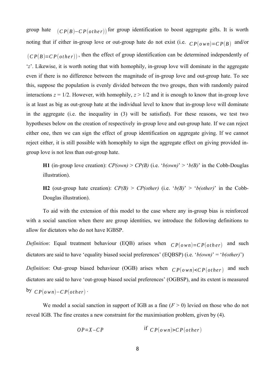group hate  $(CP(B)-CP(other))$  for group identification to boost aggregate gifts. It is worth noting that if either in-group love or out-group hate do not exist (i.e.  $\mathbb{C}P(\mathfrak{d} \times \mathfrak{d} \times P(\mathfrak{d} \times \mathfrak{d}) = \mathbb{C}P(B)$  and/or  $(CP(B)=CP(other))$ , then the effect of group identification can be determined independently of '*z*'. Likewise, it is worth noting that with homophily, in-group love will dominate in the aggregate even if there is no difference between the magnitude of in-group love and out-group hate. To see this, suppose the population is evenly divided between the two groups, then with randomly paired interactions  $z = 1/2$ . However, with homophily,  $z > 1/2$  and it is enough to know that in-group love is at least as big as out-group hate at the individual level to know that in-group love will dominate in the aggregate (i.e. the inequality in (3) will be satisfied). For these reasons, we test two hypotheses below on the creation of respectively in-group love and out-group hate. If we can reject either one, then we can sign the effect of group identification on aggregate giving. If we cannot reject either, it is still possible with homophily to sign the aggregate effect on giving provided ingroup love is not less than out-group hate.

**H1** (in-group love creation):  $CP(\text{own}) > CP(B)$  (i.e. ' $b(\text{own}) > b(B)$ ' in the Cobb-Douglas illustration).

**H2** (out-group hate creation):  $CP(B) > CP(other)$  (i.e. ' $b(B) > 'b(other)$ ' in the Cobb-Douglas illustration).

To aid with the extension of this model to the case where any in-group bias is reinforced with a social sanction when there are group identities, we introduce the following definitions to allow for dictators who do not have IGBSP.

*Definition*: Equal treatment behaviour (EQB) arises when  $CP(own) = CP(other)$  and such dictators are said to have 'equality biased social preferences' (EQBSP) (i.e. '*b(own)*' = '*b(other)*') *Definition*: Out–group biased behaviour (OGB) arises when  $\mathbb{C}P(own) < \mathbb{C}P(other)$  and such dictators are said to have 'out-group biased social preferences' (OGBSP), and its extent is measured  $\frac{dy}{dP}$   $\frac{CP(\text{own})-CP(\text{other})}{P}$ 

We model a social sanction in support of IGB as a fine  $(F > 0)$  levied on those who do not reveal IGB. The fine creates a new constraint for the maximisation problem, given by (4).

$$
OP = X - CP
$$
 if  $CP(own) > CP(other)$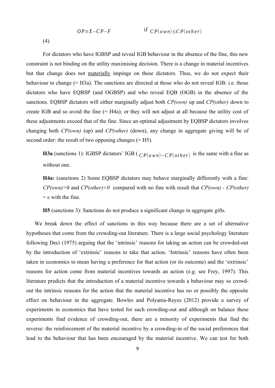$$
OP = X - CP - F
$$
 if  $CP(own) \le CP(other)$ 

(4)

For dictators who have IGBSP and reveal IGB behaviour in the absence of the fine, this new constraint is not binding on the utility maximising decision. There is a change in material incentives but that change does not materially impinge on these dictators. Thus, we do not expect their behaviour to change (= H3a). The sanctions are directed at those who do not reveal IGB: i.e. those dictators who have EQBSP (and OGBSP) and who reveal EQB (OGB) in the absence of the sanctions. EQBSP dictators will either marginally adjust both *CP(own)* up and *CP(other)* down to create IGB and so avoid the fine (= H4a); or they will not adjust at all because the utility cost of these adjustments exceed that of the fine. Since an optimal adjustment by EQBSP dictators involves changing both *CP(own)* (up) and *CP(other)* (down), any change in aggregate giving will be of second order: the result of two opposing changes (= H5).

**H3a** (sanctions 1): IGBSP dictators' IGB ( $\overline{CP}(o \text{ wn}) - \overline{CP}(o \text{ t} \text{ h} \text{ e} \text{ r})$  is the same with a fine as without one.

**H4a:** (sanctions 2) Some EQBSP dictators may behave marginally differently with a fine: *CP(own)>*0 and *CP(other)<0* compared with no fine with result that *CP(own) - CP(other)*  $= \varepsilon$  with the fine.

**H5** (sanctions 3): Sanctions do not produce a significant change in aggregate gifts*.*

We break down the effect of sanctions in this way because there are a set of alternative hypotheses that come from the crowding-out literature. There is a large social psychology literature following Deci (1975) arguing that the 'intrinsic' reasons for taking an action can be crowded-out by the introduction of 'extrinsic' reasons to take that action. 'Intrinsic' reasons have often been taken in economics to mean having a preference for that action (or its outcome) and the 'extrinsic' reasons for action come from material incentives towards an action (e.g. see Frey, 1997). This literature predicts that the introduction of a material incentive towards a behaviour may so crowdout the intrinsic reasons for the action that the material incentive has no or possibly the opposite effect on behaviour in the aggregate. Bowles and Polyania-Reyes (2012) provide a survey of experiments in economics that have tested for such crowding-out and although on balance these experiments find evidence of crowding-out, there are a minority of experiments that find the reverse: the reinforcement of the material incentive by a crowding-in of the social preferences that lead to the behaviour that has been encouraged by the material incentive. We can test for both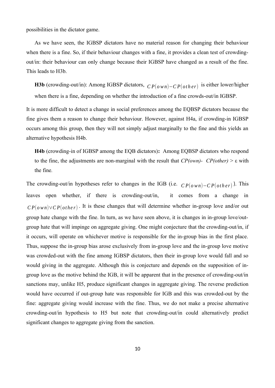possibilities in the dictator game.

As we have seen, the IGBSP dictators have no material reason for changing their behaviour when there is a fine. So, if their behaviour changes with a fine, it provides a clean test of crowdingout/in: their behaviour can only change because their IGBSP have changed as a result of the fine. This leads to H3b.

**H3b** (crowding-out/in): Among IGBSP dictators, *<sup>C</sup> <sup>P</sup>*(*<sup>o</sup> wn*)−*<sup>C</sup> <sup>P</sup>*(*ot <sup>h</sup> <sup>e</sup> <sup>r</sup>*) is either lower/higher

when there is a fine, depending on whether the introduction of a fine crowds-out/in IGBSP.

It is more difficult to detect a change in social preferences among the EQBSP dictators because the fine gives them a reason to change their behaviour. However, against H4a, if crowding-in IGBSP occurs among this group, then they will not simply adjust marginally to the fine and this yields an alternative hypothesis H4b.

**H4b** (crowding-in of IGBSP among the EQB dictators)**:** Among EQBSP dictators who respond to the fine, the adjustments are non-marginal with the result that *CP(own)- CP(other)* > ε with the fine*.*

The crowding-out/in hypotheses refer to changes in the IGB (i.e. *<sup>C</sup> <sup>P</sup>*(*<sup>o</sup> wn*)−*<sup>C</sup> <sup>P</sup>*(*ot <sup>h</sup> <sup>e</sup> <sup>r</sup>*) ). This leaves open whether, if there is crowding-out/in, it comes from a change in  $CP(own) \vee CP(other)$ . It is these changes that will determine whether in-group love and/or out group hate change with the fine. In turn, as we have seen above, it is changes in in-group love/outgroup hate that will impinge on aggregate giving. One might conjecture that the crowding-out/in, if it occurs, will operate on whichever motive is responsible for the in-group bias in the first place. Thus, suppose the in-group bias arose exclusively from in-group love and the in-group love motive was crowded-out with the fine among IGBSP dictators, then their in-group love would fall and so would giving in the aggregate. Although this is conjecture and depends on the supposition of ingroup love as the motive behind the IGB, it will be apparent that in the presence of crowding-out/in sanctions may, unlike H5, produce significant changes in aggregate giving. The reverse prediction would have occurred if out-group hate was responsible for IGB and this was crowded-out by the fine: aggregate giving would increase with the fine. Thus, we do not make a precise alternative crowding-out/in hypothesis to H5 but note that crowding-out/in could alternatively predict significant changes to aggregate giving from the sanction.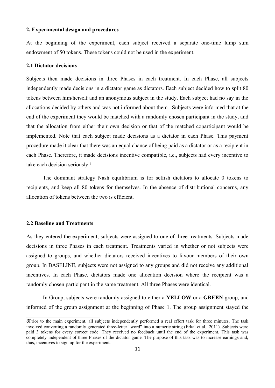#### **2. Experimental design and procedures**

At the beginning of the experiment, each subject received a separate one-time lump sum endowment of 50 tokens. These tokens could not be used in the experiment.

#### **2.1 Dictator decisions**

Subjects then made decisions in three Phases in each treatment. In each Phase, all subjects independently made decisions in a dictator game as dictators. Each subject decided how to split 80 tokens between him/herself and an anonymous subject in the study. Each subject had no say in the allocations decided by others and was not informed about them. Subjects were informed that at the end of the experiment they would be matched with a randomly chosen participant in the study, and that the allocation from either their own decision or that of the matched coparticipant would be implemented. Note that each subject made decisions as a dictator in each Phase. This payment procedure made it clear that there was an equal chance of being paid as a dictator or as a recipient in each Phase. Therefore, it made decisions incentive compatible, i.e., subjects had every incentive to take each decision seriously.<sup>3</sup>

The dominant strategy Nash equilibrium is for selfish dictators to allocate 0 tokens to recipients, and keep all 80 tokens for themselves. In the absence of distributional concerns, any allocation of tokens between the two is efficient.

#### **2.2 Baseline and Treatments**

As they entered the experiment, subjects were assigned to one of three treatments. Subjects made decisions in three Phases in each treatment. Treatments varied in whether or not subjects were assigned to groups, and whether dictators received incentives to favour members of their own group. In BASELINE, subjects were not assigned to any groups and did not receive any additional incentives. In each Phase, dictators made one allocation decision where the recipient was a randomly chosen participant in the same treatment. All three Phases were identical.

In Group, subjects were randomly assigned to either a **YELLOW** or a **GREEN** group, and informed of the group assignment at the beginning of Phase 1. The group assignment stayed the

<sup>3</sup>Prior to the main experiment, all subjects independently performed a real effort task for three minutes. The task involved converting a randomly generated three-letter "word" into a numeric string (Erkal et al., 2011). Subjects were paid 3 tokens for every correct code. They received no feedback until the end of the experiment. This task was completely independent of three Phases of the dictator game. The purpose of this task was to increase earnings and, thus, incentives to sign up for the experiment.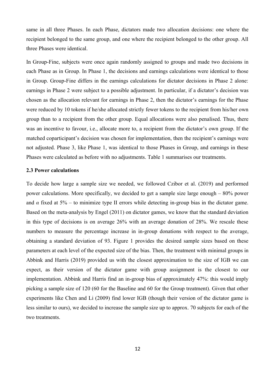same in all three Phases. In each Phase, dictators made two allocation decisions: one where the recipient belonged to the same group, and one where the recipient belonged to the other group. All three Phases were identical.

In Group-Fine, subjects were once again randomly assigned to groups and made two decisions in each Phase as in Group. In Phase 1, the decisions and earnings calculations were identical to those in Group. Group-Fine differs in the earnings calculations for dictator decisions in Phase 2 alone: earnings in Phase 2 were subject to a possible adjustment. In particular, if a dictator's decision was chosen as the allocation relevant for earnings in Phase 2, then the dictator's earnings for the Phase were reduced by 10 tokens if he/she allocated strictly fewer tokens to the recipient from his/her own group than to a recipient from the other group. Equal allocations were also penalised. Thus, there was an incentive to favour, i.e., allocate more to, a recipient from the dictator's own group. If the matched coparticipant's decision was chosen for implementation, then the recipient's earnings were not adjusted. Phase 3, like Phase 1, was identical to those Phases in Group, and earnings in these Phases were calculated as before with no adjustments. Table 1 summarises our treatments.

#### **2.3 Power calculations**

To decide how large a sample size we needed, we followed Czibor et al. (2019) and performed power calculations. More specifically, we decided to get a sample size large enough – 80% power and  $\alpha$  fixed at 5% – to minimize type II errors while detecting in-group bias in the dictator game. Based on the meta-analysis by Engel (2011) on dictator games, we know that the standard deviation in this type of decisions is on average 26% with an average donation of 28%. We rescale these numbers to measure the percentage increase in in-group donations with respect to the average, obtaining a standard deviation of 93. Figure 1 provides the desired sample sizes based on these parameters at each level of the expected size of the bias. Then, the treatment with minimal groups in Abbink and Harris (2019) provided us with the closest approximation to the size of IGB we can expect, as their version of the dictator game with group assignment is the closest to our implementation. Abbink and Harris find an in-group bias of approximately 47%: this would imply picking a sample size of 120 (60 for the Baseline and 60 for the Group treatment). Given that other experiments like Chen and Li (2009) find lower IGB (though their version of the dictator game is less similar to ours), we decided to increase the sample size up to approx. 70 subjects for each of the two treatments.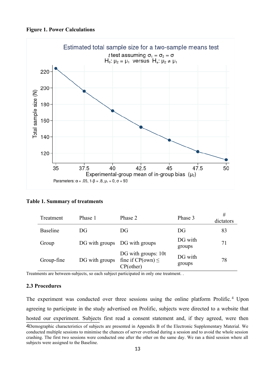**Figure 1. Power Calculations**



#### **Table 1. Summary of treatments**

| Treatment       | Phase 1        | Phase 2                                                       | Phase 3           | #<br>dictators |
|-----------------|----------------|---------------------------------------------------------------|-------------------|----------------|
| <b>Baseline</b> | DG.            | DG                                                            | DG                | 83             |
| Group           |                | DG with groups DG with groups                                 | DG with<br>groups | 71             |
| Group-fine      | DG with groups | DG with groups: 10t<br>fine if $CP(own) \leq$<br>$CP$ (other) | DG with<br>groups | 78             |

Treatments are between-subjects, so each subject participated in only one treatment. .

#### **2.3 Procedures**

The experiment was conducted over three sessions using the online platform Prolific.<sup>4</sup> Upon agreeing to participate in the study advertised on Prolific, subjects were directed to a website that hosted our experiment. Subjects first read a consent statement and, if they agreed, were then

<sup>4</sup>Demographic characteristics of subjects are presented in Appendix B of the Electronic Supplementary Material. We conducted multiple sessions to minimise the chances of server overload during a session and to avoid the whole session crashing. The first two sessions were conducted one after the other on the same day. We ran a third session where all subjects were assigned to the Baseline.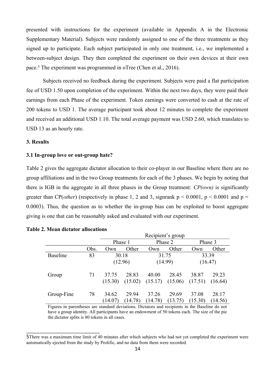presented with instructions for the experiment (available in Appendix A in the Electronic Supplementary Material). Subjects were randomly assigned to one of the three treatments as they signed up to participate. Each subject participated in only one treatment, i.e., we implemented a between-subject design. They then completed the experiment on their own devices at their own pace.<sup>5</sup> The experiment was programmed in oTree (Chen et al., 2016).

Subjects received no feedback during the experiment. Subjects were paid a flat participation fee of USD 1.50 upon completion of the experiment. Within the next two days, they were paid their earnings from each Phase of the experiment. Token earnings were converted to cash at the rate of 200 tokens to USD 1. The average participant took about 12 minutes to complete the experiment and received an additional USD 1.10. The total average payment was USD 2.60, which translates to USD 13 as an hourly rate.

#### **3. Results**

#### **3.1 In-group love or out-group hate?**

Table 2 gives the aggregate dictator allocation to their co-player in our Baseline where there are no group affiliations and in the two Group treatments for each of the 3 phases. We begin by noting that there is IGB in the aggregate in all three phases in the Group treatment: *CP(own)* is significantly greater than CP(*other*) (respectively in phase 1, 2 and 3, signrank  $p < 0.0001$ ,  $p < 0.0001$  and  $p =$ 0.0003). Thus, the question as to whether the in-group bias can be exploited to boost aggregate giving is one that can be reasonably asked and evaluated with our experiment.

|                 |      | Recipient's group |         |         |         |         |         |  |  |
|-----------------|------|-------------------|---------|---------|---------|---------|---------|--|--|
|                 |      | Phase 1           |         |         | Phase 2 | Phase 3 |         |  |  |
|                 | Obs. | Own               | Other   | Own     | Other   | Own     | Other   |  |  |
| <b>Baseline</b> | 83   |                   | 30.18   |         | 31.75   | 33.39   |         |  |  |
|                 |      |                   | (12.96) | (14.99) |         | (16.47) |         |  |  |
| Group           | 71   | 37.75             | 28.83   | 40.00   | 28.45   | 38.87   | 29.23   |  |  |
|                 |      | (15.30)           | (15.02) | (15.17) | (15.06) | (17.51) | (16.64) |  |  |
| Group-Fine      | 78   | 34.62             | 29.94   | 37.26   | 29.69   | 37.08   | 28.17   |  |  |
|                 |      | (14.07)           | (14.78) | (14.78) | (13.75) | (15.30) | (14.56) |  |  |

#### **Table 2. Mean dictator allocations**

Figures in parentheses are standard deviations. Dictators and recipients in the Baseline do not have a group identity. All participants have an endowment of 50 tokens each. The size of the pie the dictator splits is 80 tokens in all cases.

<sup>5</sup>There was a maximum time limit of 40 minutes after which subjects who had not yet completed the experiment were automatically ejected from the study by Prolific, and no data from them were recorded.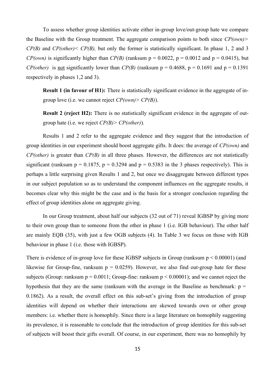To assess whether group identities activate either in-group love/out-group hate we compare the Baseline with the Group treatment. The aggregate comparison points to both since *CP(own)> CP(B)* and *CP(other)< CP(B),* but only the former is statistically significant. In phase 1, 2 and 3 *CP(own)* is significantly higher than *CP(B)* (ranksum  $p = 0.0022$ ,  $p = 0.0012$  and  $p = 0.0415$ ), but *CP(other)* is <u>not</u> significantly lower than *CP(B)* (ranksum  $p = 0.4688$ ,  $p = 0.1691$  and  $p = 0.1391$ respectively in phases 1,2 and 3).

**Result 1 (in favour of H1):** There is statistically significant evidence in the aggregate of ingroup love (i.e. we cannot reject *CP(own)> CP(B)*).

**Result 2 (reject H2):** There is no statistically significant evidence in the aggregate of outgroup hate (i.e. we reject *CP(B)> CP(other)*)*.*

Results 1 and 2 refer to the aggregate evidence and they suggest that the introduction of group identities in our experiment should boost aggregate gifts. It does: the average of *CP(own)* and *CP(other)* is greater than *CP(B)* in all three phases*.* However, the differences are not statistically significant (ranksum  $p = 0.1875$ ,  $p = 0.3294$  and  $p = 0.5383$  in the 3 phases respectively). This is perhaps a little surprising given Results 1 and 2, but once we disaggregate between different types in our subject population so as to understand the component influences on the aggregate results, it becomes clear why this might be the case and is the basis for a stronger conclusion regarding the effect of group identities alone on aggregate giving.

In our Group treatment, about half our subjects (32 out of 71) reveal IGBSP by giving more to their own group than to someone from the other in phase 1 (i.e. IGB behaviour). The other half are mainly EQB (35), with just a few OGB subjects (4). In Table 3 we focus on those with IGB behaviour in phase 1 (i.e. those with IGBSP).

There is evidence of in-group love for these IGBSP subjects in Group (ranksum  $p \le 0.00001$ ) (and likewise for Group-fine, ranksum  $p = 0.0259$ . However, we also find out-group hate for these subjects (Group: ranksum  $p = 0.0011$ ; Group-fine: ranksum  $p \le 0.00001$ ); and we cannot reject the hypothesis that they are the same (ranksum with the average in the Baseline as benchmark:  $p =$ 0.1862). As a result, the overall effect on this sub-set's giving from the introduction of group identities will depend on whether their interactions are skewed towards own or other group members: i.e. whether there is homophily. Since there is a large literature on homophily suggesting its prevalence, it is reasonable to conclude that the introduction of group identities for this sub-set of subjects will boost their gifts overall. Of course, in our experiment, there was no homophily by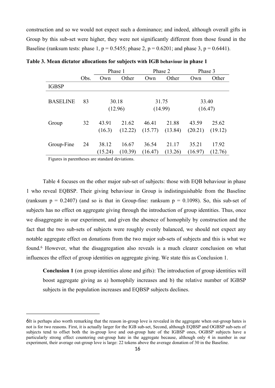construction and so we would not expect such a dominance; and indeed, although overall gifts in Group by this sub-set were higher, they were not significantly different from those found in the Baseline (ranksum tests: phase 1,  $p = 0.5455$ ; phase 2,  $p = 0.6201$ ; and phase 3,  $p = 0.6441$ ).

|                 |      | Phase 1          |                  | Phase 2          |                  | Phase 3          |                  |
|-----------------|------|------------------|------------------|------------------|------------------|------------------|------------------|
|                 | Obs. | Own              | Other            | Own              | Other            | Own              | Other            |
| <b>IGBSP</b>    |      |                  |                  |                  |                  |                  |                  |
| <b>BASELINE</b> | 83   |                  | 30.18<br>(12.96) |                  | 31.75<br>(14.99) |                  | 33.40<br>(16.47) |
| Group           | 32   | 43.91<br>(16.3)  | 21.62<br>(12.22) | 46.41<br>(15.77) | 21.88<br>(13.84) | 43.59<br>(20.21) | 25.62<br>(19.12) |
| Group-Fine      | 24   | 38.12<br>(15.24) | 16.67<br>(10.39) | 36.54<br>(16.47) | 21.17<br>(13.26) | 35.21<br>(16.97) | 17.92<br>(12.76) |

**Table 3. Mean dictator allocations for subjects with IGB behaviour in phase 1**

Figures in parentheses are standard deviations.

Table 4 focuses on the other major sub-set of subjects: those with EQB behaviour in phase 1 who reveal EQBSP. Their giving behaviour in Group is indistinguishable from the Baseline (ranksum  $p = 0.2407$ ) (and so is that in Group-fine: ranksum  $p = 0.1098$ ). So, this sub-set of subjects has no effect on aggregate giving through the introduction of group identities. Thus, once we disaggregate in our experiment, and given the absence of homophily by construction and the fact that the two sub-sets of subjects were roughly evenly balanced, we should not expect any notable aggregate effect on donations from the two major sub-sets of subjects and this is what we found.<sup>6</sup> However, what the disaggregation also reveals is a much clearer conclusion on what influences the effect of group identities on aggregate giving. We state this as Conclusion 1.

**Conclusion 1** (on group identities alone and gifts): The introduction of group identities will boost aggregate giving as a) homophily increases and b) the relative number of IGBSP subjects in the population increases and EQBSP subjects declines.

<sup>6</sup>It is perhaps also worth remarking that the reason in-group love is revealed in the aggregate when out-group hates is not is for two reasons. First, it is actually larger for the IGB sub-set, Second, although EQBSP and OGBSP sub-sets of subjects tend to offset both the in-group love and out-group hate of the IGBSP ones, OGBSP subjects have a particularly strong effect countering out-group hate in the aggregate because, although only 4 in number in our experiment, their average out-group love is large: 22 tokens above the average donation of 30 in the Baseline.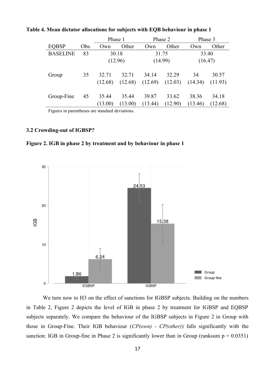|                 |      | Phase 1 |                    |         | Phase 2 | Phase 3 |         |  |
|-----------------|------|---------|--------------------|---------|---------|---------|---------|--|
| <b>EQBSP</b>    | Obs. | Own     | Other              | Own     | Other   | Own     | Other   |  |
| <b>BASELINE</b> | 83   |         | 30.18              |         | 31.75   | 33.40   |         |  |
|                 |      |         | (12.96)<br>(14.99) |         | (16.47) |         |         |  |
| Group           | 35   | 32.71   | 32.71              | 34.14   | 32.29   | 34      | 30.57   |  |
|                 |      | (12.68) | (12.68)            | (12.69) | (12.03) | (14.34) | (11.93) |  |
| Group-Fine      | 45   | 35.44   | 35.44              | 39.87   | 33.62   | 38.36   | 34.18   |  |
|                 |      | (13.00) | (13.00)            | (13.44) | (12.90) | (13.46) | (12.68) |  |

**Table 4. Mean dictator allocations for subjects with EQB behaviour in phase 1**

Figures in parentheses are standard deviations.

#### **3.2 Crowding-out of IGBSP?**





We turn now to H3 on the effect of sanctions for IGBSP subjects. Building on the numbers in Table 2, Figure 2 depicts the level of IGB in phase 2 by treatment for IGBSP and EQBSP subjects separately. We compare the behaviour of the IGBSP subjects in Figure 2 in Group with those in Group-Fine. Their IGB behaviour (*CP(own) - CP(other)*) falls significantly with the sanction: IGB in Group-fine in Phase 2 is significantly lower than in Group (ranksum  $p = 0.0351$ )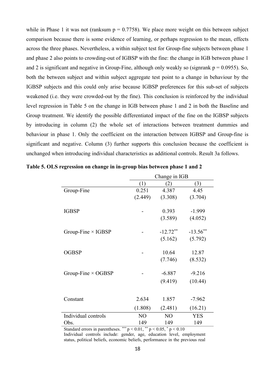while in Phase 1 it was not (ranksum  $p = 0.7758$ ). We place more weight on this between subject comparison because there is some evidence of learning, or perhaps regression to the mean, effects across the three phases. Nevertheless, a within subject test for Group-fine subjects between phase 1 and phase 2 also points to crowding-out of IGBSP with the fine: the change in IGB between phase 1 and 2 is significant and negative in Group-Fine, although only weakly so (signrank  $p = 0.0955$ ). So, both the between subject and within subject aggregate test point to a change in behaviour by the IGBSP subjects and this could only arise because IGBSP preferences for this sub-set of subjects weakened (i.e. they were crowded-out by the fine). This conclusion is reinforced by the individual level regression in Table 5 on the change in IGB between phase 1 and 2 in both the Baseline and Group treatment. We identify the possible differentiated impact of the fine on the IGBSP subjects by introducing in column (2) the whole set of interactions between treatment dummies and behaviour in phase 1. Only the coefficient on the interaction between IGBSP and Group-fine is significant and negative. Column (3) further supports this conclusion because the coefficient is unchanged when introducing individual characteristics as additional controls. Result 3a follows.

|                           | Change in IGB  |                |             |  |  |  |
|---------------------------|----------------|----------------|-------------|--|--|--|
|                           | (1)            | (2)            | (3)         |  |  |  |
| Group-Fine                | 0.251          | 4.387          | 4.45        |  |  |  |
|                           | (2.449)        | (3.308)        | (3.704)     |  |  |  |
| <b>IGBSP</b>              |                | 0.393          | $-1.999$    |  |  |  |
|                           |                | (3.589)        | (4.052)     |  |  |  |
| Group-Fine $\times$ IGBSP |                | $-12.72**$     | $-13.56$ ** |  |  |  |
|                           |                | (5.162)        | (5.792)     |  |  |  |
| <b>OGBSP</b>              |                | 10.64          | 12.87       |  |  |  |
|                           |                | (7.746)        | (8.532)     |  |  |  |
| Group-Fine $\times$ OGBSP |                | $-6.887$       | $-9.216$    |  |  |  |
|                           |                | (9.419)        | (10.44)     |  |  |  |
|                           |                |                |             |  |  |  |
| Constant                  | 2.634          | 1.857          | $-7.962$    |  |  |  |
|                           | (1.808)        | (2.481)        | (16.21)     |  |  |  |
| Individual controls       | N <sub>O</sub> | N <sub>O</sub> | <b>YES</b>  |  |  |  |
| Obs.                      | 149            | 149            | 149         |  |  |  |

**Table 5. OLS regression on change in in-group bias between phase 1 and 2**

Standard errors in parentheses. \*\*\*  $p < 0.01$ , \*\*  $p < 0.05$ , \*  $p < 0.10$ Individual controls include: gender, age, education level, employment status, political beliefs, economic beliefs, performance in the previous real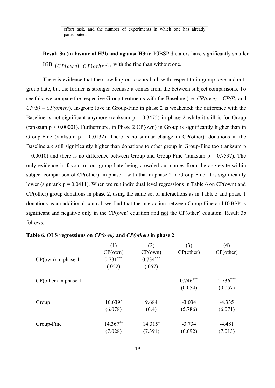effort task, and the number of experiments in which one has already participated.

**Result 3a (in favour of H3b and against H3a):** IGBSP dictators have significantly smaller IGB  $(CP(own)-CP(other))$  with the fine than without one.

There is evidence that the crowding-out occurs both with respect to in-group love and outgroup hate, but the former is stronger because it comes from the between subject comparisons. To see this, we compare the respective Group treatments with the Baseline (i.e. *CP(own) – CP(B)* and *CP(B) – CP(other)*)*.* In-group love in Group-Fine in phase 2 is weakened: the difference with the Baseline is not significant anymore (ranksum  $p = 0.3475$ ) in phase 2 while it still is for Group (ranksum  $p < 0.00001$ ). Furthermore, in Phase 2 CP(own) in Group is significantly higher than in Group-Fine (ranksum  $p = 0.0132$ ). There is no similar change in CP(other): donations in the Baseline are still significantly higher than donations to other group in Group-Fine too (ranksum p  $= 0.0010$ ) and there is no difference between Group and Group-Fine (ranksum  $p = 0.7597$ ). The only evidence in favour of out-group hate being crowded-out comes from the aggregate within subject comparison of CP(other) in phase 1 with that in phase 2 in Group-Fine: it is significantly lower (signrank  $p = 0.0411$ ). When we run individual level regressions in Table 6 on CP(own) and CP(other) group donations in phase 2, using the same set of interactions as in Table 5 and phase 1 donations as an additional control, we find that the interaction between Group-Fine and IGBSP is significant and negative only in the CP(own) equation and <u>not</u> the CP(other) equation. Result 3b follows.

|                         | (1)        | (2)        | (3)          | (4)          |
|-------------------------|------------|------------|--------------|--------------|
|                         | CP(own)    | CP(own)    | $CP$ (other) | $CP$ (other) |
| $CP(own)$ in phase 1    | $0.731***$ | $0.734***$ | -            | -            |
|                         | (.052)     | (.057)     |              |              |
| $CP$ (other) in phase 1 |            |            | $0.746***$   | $0.736***$   |
|                         |            |            | (0.054)      | (0.057)      |
| Group                   | $10.639*$  | 9.684      | $-3.034$     | $-4.335$     |
|                         | (6.078)    | (6.4)      | (5.786)      | (6.071)      |
| Group-Fine              | 14.367**   | $14.315*$  | $-3.734$     | $-4.481$     |
|                         | (7.028)    | (7.391)    | (6.692)      | (7.013)      |

|  | Table 6. OLS regressions on CP(own) and CP(other) in phase 2 |  |  |  |
|--|--------------------------------------------------------------|--|--|--|
|  |                                                              |  |  |  |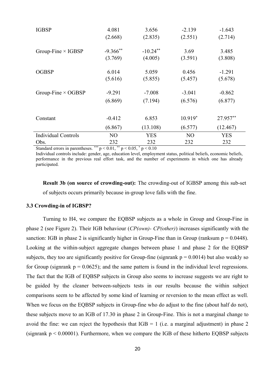| <b>IGBSP</b>                                   | 4.081                  | 3.656                     | $-2.139$       | $-1.643$   |
|------------------------------------------------|------------------------|---------------------------|----------------|------------|
|                                                | (2.668)                | (2.835)                   | (2.551)        | (2.714)    |
| Group-Fine $\times$ IGBSP                      | $-9.366$ **            | $-10.24$ <sup>**</sup>    | 3.69           | 3.485      |
|                                                | (3.769)                | (4.005)                   | (3.591)        | (3.808)    |
| <b>OGBSP</b>                                   | 6.014                  | 5.059                     | 0.456          | $-1.291$   |
|                                                | (5.616)                | (5.855)                   | (5.457)        | (5.678)    |
| Group-Fine $\times$ OGBSP                      | $-9.291$               | $-7.008$                  | $-3.041$       | $-0.862$   |
|                                                | (6.869)                | (7.194)                   | (6.576)        | (6.877)    |
| Constant                                       | $-0.412$               | 6.853                     | $10.919*$      | 27.957**   |
|                                                | (6.867)                | (13.108)                  | (6.577)        | (12.467)   |
| <b>Individual Controls</b>                     | N <sub>O</sub>         | <b>YES</b>                | N <sub>O</sub> | <b>YES</b> |
| Obs.<br>$\mathbf{1}$ $\mathbf{1}$<br>$\cdot$ 1 | 232<br>***<br>$.001 *$ | 232<br>$.007 *$<br>. 0.10 | 232            | 232        |

Standard errors in parentheses. \*\*\*  $p < 0.01$ , \*\*  $p < 0.05$ , \*  $p < 0.10$ 

Individual controls include: gender, age, education level, employment status, political beliefs, economic beliefs, performance in the previous real effort task, and the number of experiments in which one has already participated.

**Result 3b (on source of crowding-out):** The crowding-out of IGBSP among this sub-set of subjects occurs primarily because in-group love falls with the fine.

#### **3.3 Crowding-in of IGBSP?**

Turning to H4, we compare the EQBSP subjects as a whole in Group and Group-Fine in phase 2 (see Figure 2). Their IGB behaviour (*CP(own)- CP(other)*) increases significantly with the sanction: IGB in phase 2 is significantly higher in Group-Fine than in Group (ranksum  $p = 0.0448$ ). Looking at the within-subject aggregate changes between phase 1 and phase 2 for the EQBSP subjects, they too are significantly positive for Group-fine (signrank  $p = 0.0014$ ) but also weakly so for Group (signrank  $p = 0.0625$ ); and the same pattern is found in the individual level regressions. The fact that the IGB of EQBSP subjects in Group also seems to increase suggests we are right to be guided by the cleaner between-subjects tests in our results because the within subject comparisons seem to be affected by some kind of learning or reversion to the mean effect as well. When we focus on the EQBSP subjects in Group-fine who do adjust to the fine (about half do not), these subjects move to an IGB of 17.30 in phase 2 in Group-Fine. This is not a marginal change to avoid the fine: we can reject the hypothesis that  $IGB = 1$  (i.e. a marginal adjustment) in phase 2 (signrank  $p \le 0.00001$ ). Furthermore, when we compare the IGB of these hitherto EQBSP subjects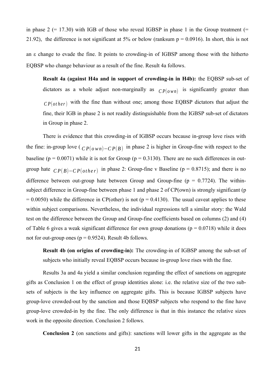in phase  $2 (= 17.30)$  with IGB of those who reveal IGBSP in phase 1 in the Group treatment (= 21.92), the difference is not significant at 5% or below (ranksum  $p = 0.0916$ ). In short, this is not an ε change to evade the fine. It points to crowding-in of IGBSP among those with the hitherto EQBSP who change behaviour as a result of the fine. Result 4a follows.

**Result 4a (against H4a and in support of crowding-in in H4b):** the EQBSP sub-set of dictators as a whole adjust non-marginally as  $CP(own)$  is significantly greater than  $CP(other)$  with the fine than without one; among those EQBSP dictators that adjust the fine, their IGB in phase 2 is not readily distinguishable from the IGBSP sub-set of dictators in Group in phase 2.

There is evidence that this crowding-in of IGBSP occurs because in-group love rises with the fine: in-group love ( *<sup>C</sup> <sup>P</sup>*(*<sup>o</sup> wn*)−*<sup>C</sup> <sup>P</sup>*(*B*) in phase 2 is higher in Group-fine with respect to the baseline ( $p = 0.0071$ ) while it is not for Group ( $p = 0.3130$ ). There are no such differences in outgroup hate  $\mathbb{C}P(B)-\mathbb{C}P(\text{other})$  in phase 2: Group-fine v Baseline ( $p = 0.8715$ ); and there is no difference between out-group hate between Group and Group-fine ( $p = 0.7724$ ). The withinsubject difference in Group-fine between phase 1 and phase 2 of CP(own) is strongly significant (p  $= 0.0050$ ) while the difference in CP(other) is not (p = 0.4130). The usual caveat applies to these within subject comparisons. Nevertheless, the individual regressions tell a similar story: the Wald test on the difference between the Group and Group-fine coefficients based on columns (2) and (4) of Table 6 gives a weak significant difference for own group donations ( $p = 0.0718$ ) while it does not for out-group ones ( $p = 0.9524$ ). Result 4b follows.

**Result 4b (on origins of crowding-in):** The crowding-in of IGBSP among the sub-set of subjects who initially reveal EQBSP occurs because in-group love rises with the fine.

Results 3a and 4a yield a similar conclusion regarding the effect of sanctions on aggregate gifts as Conclusion 1 on the effect of group identities alone: i.e. the relative size of the two subsets of subjects is the key influence on aggregate gifts. This is because IGBSP subjects have group-love crowded-out by the sanction and those EQBSP subjects who respond to the fine have group-love crowded-in by the fine. The only difference is that in this instance the relative sizes work in the opposite direction. Conclusion 2 follows.

**Conclusion 2** (on sanctions and gifts): sanctions will lower gifts in the aggregate as the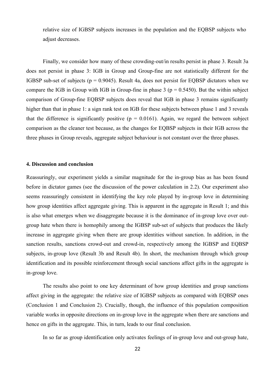relative size of IGBSP subjects increases in the population and the EQBSP subjects who adjust decreases.

Finally, we consider how many of these crowding-out/in results persist in phase 3. Result 3a does not persist in phase 3: IGB in Group and Group-fine are not statistically different for the IGBSP sub-set of subjects ( $p = 0.9045$ ). Result 4a, does not persist for EQBSP dictators when we compare the IGB in Group with IGB in Group-fine in phase 3 ( $p = 0.5450$ ). But the within subject comparison of Group-fine EQBSP subjects does reveal that IGB in phase 3 remains significantly higher than that in phase 1: a sign rank test on IGB for these subjects between phase 1 and 3 reveals that the difference is significantly positive  $(p = 0.0161)$ . Again, we regard the between subject comparison as the cleaner test because, as the changes for EQBSP subjects in their IGB across the three phases in Group reveals, aggregate subject behaviour is not constant over the three phases.

#### **4. Discussion and conclusion**

Reassuringly, our experiment yields a similar magnitude for the in-group bias as has been found before in dictator games (see the discussion of the power calculation in 2.2). Our experiment also seems reassuringly consistent in identifying the key role played by in-group love in determining how group identities affect aggregate giving. This is apparent in the aggregate in Result 1; and this is also what emerges when we disaggregate because it is the dominance of in-group love over outgroup hate when there is homophily among the IGBSP sub-set of subjects that produces the likely increase in aggregate giving when there are group identities without sanction. In addition, in the sanction results, sanctions crowd-out and crowd-in, respectively among the IGBSP and EQBSP subjects, in-group love (Result 3b and Result 4b). In short, the mechanism through which group identification and its possible reinforcement through social sanctions affect gifts in the aggregate is in-group love.

The results also point to one key determinant of how group identities and group sanctions affect giving in the aggregate: the relative size of IGBSP subjects as compared with EQBSP ones (Conclusion 1 and Conclusion 2). Crucially, though, the influence of this population composition variable works in opposite directions on in-group love in the aggregate when there are sanctions and hence on gifts in the aggregate. This, in turn, leads to our final conclusion.

In so far as group identification only activates feelings of in-group love and out-group hate,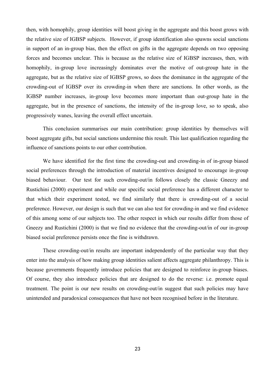then, with homophily, group identities will boost giving in the aggregate and this boost grows with the relative size of IGBSP subjects. However, if group identification also spawns social sanctions in support of an in-group bias, then the effect on gifts in the aggregate depends on two opposing forces and becomes unclear. This is because as the relative size of IGBSP increases, then, with homophily, in-group love increasingly dominates over the motive of out-group hate in the aggregate, but as the relative size of IGBSP grows, so does the dominance in the aggregate of the crowding-out of IGBSP over its crowding-in when there are sanctions. In other words, as the IGBSP number increases, in-group love becomes more important than out-group hate in the aggregate, but in the presence of sanctions, the intensity of the in-group love, so to speak, also progressively wanes, leaving the overall effect uncertain.

This conclusion summarises our main contribution: group identities by themselves will boost aggregate gifts, but social sanctions undermine this result. This last qualification regarding the influence of sanctions points to our other contribution.

We have identified for the first time the crowding-out and crowding-in of in-group biased social preferences through the introduction of material incentives designed to encourage in-group biased behaviour. Our test for such crowding-out/in follows closely the classic Gneezy and Rustichini (2000) experiment and while our specific social preference has a different character to that which their experiment tested, we find similarly that there is crowding-out of a social preference. However, our design is such that we can also test for crowding-in and we find evidence of this among some of our subjects too. The other respect in which our results differ from those of Gneezy and Rustichini (2000) is that we find no evidence that the crowding-out/in of our in-group biased social preference persists once the fine is withdrawn.

These crowding-out/in results are important independently of the particular way that they enter into the analysis of how making group identities salient affects aggregate philanthropy. This is because governments frequently introduce policies that are designed to reinforce in-group biases. Of course, they also introduce policies that are designed to do the reverse: i.e. promote equal treatment. The point is our new results on crowding-out/in suggest that such policies may have unintended and paradoxical consequences that have not been recognised before in the literature.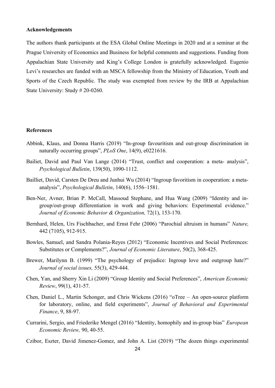#### **Acknowledgements**

The authors thank participants at the ESA Global Online Meetings in 2020 and at a seminar at the Prague University of Economics and Business for helpful comments and suggestions. Funding from Appalachian State University and King's College London is gratefully acknowledged. Eugenio Levi's researches are funded with an MSCA fellowship from the Ministry of Education, Youth and Sports of the Czech Republic. The study was exempted from review by the IRB at Appalachian State University: Study # 20-0260.

#### **References**

- Abbink, Klaus, and Donna Harris (2019) "In-group favouritism and out-group discrimination in naturally occurring groups", *PLoS One*, 14(9), e0221616.
- Bailiet, David and Paul Van Lange (2014) "Trust, conflict and cooperation: a meta- analysis", *Psychological Bulletin*, 139(50), 1090-1112.
- Bailliet, David, Carsten De Dreu and Junhui Wu (2014) "Ingroup favoritism in cooperation: a metaanalysis", *Psychological Bulletin*, 140(6), 1556–1581.
- Ben-Ner, Avner, Brian P. McCall, Massoud Stephane, and Hua Wang (2009) "Identity and ingroup/out-group differentiation in work and giving behaviors: Experimental evidence." *Journal of Economic Behavior & Organization,* 72(1), 153-170.
- Bernhard, Helen, Urs Fischbacher, and Ernst Fehr (2006) "Parochial altruism in humans" *Nature,* 442 (7105), 912-915.
- Bowles, Samuel, and Sandra Polania-Reyes (2012) "Economic Incentives and Social Preferences: Substitutes or Complements?", *Journal of Economic Literature*, 50(2), 368-425.
- Brewer, Marilynn B. (1999) "The psychology of prejudice: Ingroup love and outgroup hate?" *Journal of social issues,* 55(3), 429-444.
- Chen, Yan, and Sherry Xin Li (2009) "Group Identity and Social Preferences", *American Economic Review*, 99(1), 431-57.
- Chen, Daniel L., Martin Schonger, and Chris Wickens (2016) "oTree An open-source platform for laboratory, online, and field experiments", *Journal of Behavioral and Experimental Finance*, 9, 88-97.
- Currarini, Sergio, and Friederike Mengel (2016) "Identity, homophily and in-group bias" *European Economic Review,* 90, 40-55.
- Czibor, Eszter, David Jimenez-Gomez, and John A. List (2019) "The dozen things experimental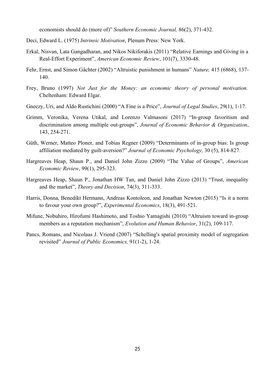economists should do (more of)" *Southern Economic Journal,* 86(2), 371-432.

- Deci, Edward L. (1975) *Intrinsic Motivation*, Plenum Press: New York.
- Erkal, Nisvan, Lata Gangadharan, and Nikos Nikiforakis (2011) "Relative Earnings and Giving in a Real-Effort Experiment", *American Economic Review*, 101(7), 3330-48.
- Fehr, Ernst, and Simon Gächter (2002) "Altruistic punishment in humans" *Nature,* 415 (6868), 137- 140.
- Frey, Bruno (1997) *Not Just for the Money: an economic theory of personal motivation.* Cheltenham: Edward Elgar.
- Gneezy, Uri, and Aldo Rustichini (2000) "A Fine is a Price", *Journal of Legal Studies*, 29(1), 1-17.
- Grimm, Veronika, Verena Utikal, and Lorenzo Valmasoni (2017) "In-group favoritism and discrimination among multiple out-groups", *Journal of Economic Behavior & Organization*, 143, 254-271.
- Güth, Werner, Matteo Ploner, and Tobias Regner (2009) "Determinants of in-group bias: Is group affiliation mediated by guilt-aversion?" *Journal of Economic Psychology,* 30 (5), 814-827.
- Hargreaves Heap, Shaun P., and Daniel John Zizzo (2009) "The Value of Groups", *American Economic Review*, 99(1), 295-323.
- Hargreaves Heap, Shaun P., Jonathan HW Tan, and Daniel John Zizzo (2013) "Trust, inequality and the market", *Theory and Decision*, 74(3), 311-333.
- Harris, Donna, Benedikt Hermann, Andreas Kontoleon, and Jonathan Newton (2015) "Is it a norm to favour your own group?", *Experimental Economics*, 18(3), 491-521.
- Mifune, Nobuhiro, Hirofumi Hashimoto, and Toshio Yamagishi (2010) "Altruism toward in-group members as a reputation mechanism", *Evolution and Human Behavior*, 31(2), 109-117.
- Pancs, Romans, and Nicolaas J. Vriend (2007) "Schelling's spatial proximity model of segregation revisited" *Journal of Public Economics,* 91(1-2), 1-24.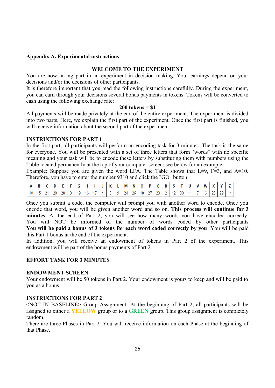#### **Appendix A. Experimental instructions**

#### **WELCOME TO THE EXPERIMENT**

You are now taking part in an experiment in decision making. Your earnings depend on your decisions and/or the decisions of other participants.

It is therefore important that you read the following instructions carefully. During the experiment, you can earn through your decisions several bonus payments in tokens. Tokens will be converted to cash using the following exchange rate:

#### **200 tokens = \$1**

All payments will be made privately at the end of the entire experiment. The experiment is divided into two parts. Here, we explain the first part of the experiment. Once the first part is finished, you will receive information about the second part of the experiment.

#### **INSTRUCTIONS FOR PART 1**

In the first part, all participants will perform an encoding task for 3 minutes. The task is the same for everyone. You will be presented with a set of three letters that form "words" with no specific meaning and your task will be to encode these letters by substituting them with numbers using the Table located permanently at the top of your computer screen: see below for an example.

Example: Suppose you are given the word LFA. The Table shows that  $L=9$ ,  $F=3$ , and  $A=10$ . Therefore, you have to enter the number 9310 and click the "GO" button.

|    | D    |               |         |    | . . |                      |                | K |   | Μ   | N  | റ ⊥             | - 12 |           |               |    |  | W |           |                    |  |
|----|------|---------------|---------|----|-----|----------------------|----------------|---|---|-----|----|-----------------|------|-----------|---------------|----|--|---|-----------|--------------------|--|
| 10 | -4 E | $\Delta$<br>- | ാറ<br>∼ | 28 | 19  | $\overline{a}$<br>16 | $\overline{a}$ |   | u | 24. | 26 | 18 <sup>1</sup> |      | <u>_ </u> | $\sim$<br>12. | 30 |  |   | n F<br>-- | $20^{\circ}$<br>-- |  |

Once you submit a code, the computer will prompt you with another word to encode. Once you encode that word, you will be given another word and so on. **This process will continue for 3 minutes**. At the end of Part 2, you will see how many words you have encoded correctly. You will NOT be informed of the number of words coded by other participants **You will be paid a bonus of 3 tokens for each word coded correctly by you**. You will be paid this Part 1 bonus at the end of the experiment.

In addition, you will receive an endowment of tokens in Part 2 of the experiment. This endowment will be part of the bonus payments of Part 2.

#### **EFFORT TASK FOR 3 MINUTES**

#### **ENDOWMENT SCREEN**

Your endowment will be 50 tokens in Part 2. Your endowment is yours to keep and will be paid to you as a bonus.

#### **INSTRUCTIONS FOR PART 2**

<NOT IN BASELINE> Group Assignment: At the beginning of Part 2, all participants will be assigned to either a **YELLOW** group or to a **GREEN** group. This group assignment is completely random.

There are three Phases in Part 2. You will receive information on each Phase at the beginning of that Phase.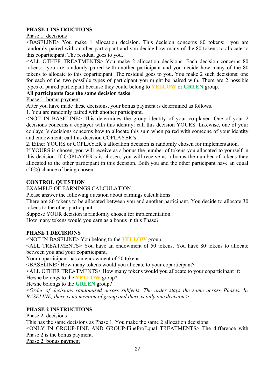#### **PHASE 1 INSTRUCTIONS**

Phase 1: decisions

<BASELINE> You make 1 allocation decision. This decision concerns 80 tokens: you are randomly paired with another participant and you decide how many of the 80 tokens to allocate to this coparticipant. The residual goes to you.

<ALL OTHER TREATMENTS> You make 2 allocation decisions. Each decision concerns 80 tokens: you are randomly paired with another participant and you decide how many of the 80 tokens to allocate to this coparticipant. The residual goes to you. You make 2 such decisions: one for each of the two possible types of participant you might be paired with. There are 2 possible types of paired participant because they could belong to **YELLOW** or **GREEN** group.

#### **All participants face the same decision tasks**.

Phase 1: bonus payment

After you have made these decisions, your bonus payment is determined as follows.

1. You are randomly paired with another participant.

<NOT IN BASELINE> This determines the group identity of your co-player. One of your 2 decisions concerns a coplayer with this identity: call this decision YOURS. Likewise, one of your coplayer's decisions concerns how to allocate this sum when paired with someone of your identity and endowment: call this decision COPLAYER's.

2. Either YOURS or COPLAYER's allocation decision is randomly chosen for implementation.

If YOURS is chosen, you will receive as a bonus the number of tokens you allocated to yourself in this decision. If COPLAYER's is chosen, you will receive as a bonus the number of tokens they allocated to the other participant in this decision. Both you and the other participant have an equal (50%) chance of being chosen.

#### **CONTROL QUESTION**

EXAMPLE OF EARNINGS CALCULATION

Please answer the following question about earnings calculations.

There are 80 tokens to be allocated between you and another participant. You decide to allocate 30 tokens to the other participant.

Suppose YOUR decision is randomly chosen for implementation.

How many tokens would you earn as a bonus in this Phase?

#### **PHASE 1 DECISIONS**

<NOT IN BASELINE> You belong to the **YELLOW** group.

<ALL TREATMENTS> You have an endowment of 50 tokens. You have 80 tokens to allocate between you and your coparticipant.

Your coparticipant has an endowment of 50 tokens.

<BASELINE> How many tokens would you allocate to your coparticipant?

<ALL OTHER TREATMENTS> How many tokens would you allocate to your coparticipant if:

He/she belongs to the **YELLOW** group?

He/she belongs to the **GREEN** group?

<*Order of decisions randomised across subjects. The order stays the same across Phases. In BASELINE, there is no mention of group and there is only one decision.*>

#### **PHASE 2 INSTRUCTIONS**

Phase 2: decisions

This has the same decisions as Phase 1. You make the same 2 allocation decisions.

<ONLY IN GROUP-FINE AND GROUP-FineProEqual TREATMENTS> The difference with Phase 2 is the bonus payment.

Phase 2: bonus payment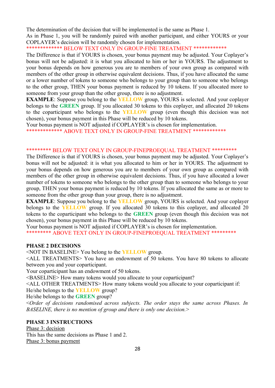The determination of the decision that will be implemented is the same as Phase 1.

As in Phase 1, you will be randomly paired with another participant, and either YOURS or your COPLAYER's decision will be randomly chosen for implementation.

\*\*\*\*\*\*\*\*\*\*\*\*\* BELOW TEXT ONLY IN GROUP-FINE TREATMENT \*\*\*\*\*\*\*\*\*\*\*\*

The Difference is that if YOURS is chosen, your bonus payment may be adjusted. Your Coplayer's bonus will not be adjusted: it is what you allocated to him or her in YOURS. The adjustment to your bonus depends on how generous you are to members of your own group as compared with members of the other group in otherwise equivalent decisions. Thus, if you have allocated the same or a lower number of tokens to someone who belongs to your group than to someone who belongs to the other group, THEN your bonus payment is reduced by 10 tokens. If you allocated more to someone from your group than the other group, there is no adjustment.

**EXAMPLE**: Suppose you belong to the **YELLOW** group, YOURS is selected. And your coplayer belongs to the **GREEN** group. If you allocated 30 tokens to this coplayer, and allocated 20 tokens to the coparticipant who belongs to the **YELLOW** group (even though this decision was not chosen), your bonus payment in this Phase will be reduced by 10 tokens.

Your bonus payment is NOT adjusted if COPLAYER's is chosen for implementation.

\*\*\*\*\*\*\*\*\*\*\*\*\* ABOVE TEXT ONLY IN GROUP-FINE TREATMENT \*\*\*\*\*\*\*\*\*\*\*\*

#### \*\*\*\*\*\*\*\*\* BELOW TEXT ONLY IN GROUP-FINEPROEQUAL TREATMENT \*\*\*\*\*\*\*\*\*

The Difference is that if YOURS is chosen, your bonus payment may be adjusted. Your Coplayer's bonus will not be adjusted: it is what you allocated to him or her in YOURS. The adjustment to your bonus depends on how generous you are to members of your own group as compared with members of the other group in otherwise equivalent decisions. Thus, if you have allocated a lower number of tokens to someone who belongs to the other group than to someone who belongs to your group, THEN your bonus payment is reduced by 10 tokens. If you allocated the same as or more to someone from the other group than your group, there is no adjustment.

**EXAMPLE**: Suppose you belong to the **YELLOW** group, YOURS is selected. And your coplayer belongs to the **YELLOW** group. If you allocated 30 tokens to this coplayer, and allocated 20 tokens to the coparticipant who belongs to the **GREEN** group (even though this decision was not chosen), your bonus payment in this Phase will be reduced by 10 tokens.

Your bonus payment is NOT adjusted if COPLAYER's is chosen for implementation.

\*\*\*\*\*\*\*\*\* ABOVE TEXT ONLY IN GROUP-FINEPROEQUAL TREATMENT \*\*\*\*\*\*\*\*\*

#### **PHASE 2 DECISIONS**

<NOT IN BASELINE> You belong to the **YELLOW** group.

<ALL TREATMENTS> You have an endowment of 50 tokens. You have 80 tokens to allocate between you and your coparticipant.

Your coparticipant has an endowment of 50 tokens.

<BASELINE> How many tokens would you allocate to your coparticipant?

<ALL OTHER TREATMENTS> How many tokens would you allocate to your coparticipant if: He/she belongs to the **YELLOW** group?

He/she belongs to the **GREEN** group?

<*Order of decisions randomised across subjects. The order stays the same across Phases. In BASELINE, there is no mention of group and there is only one decision.*>

#### **PHASE 3 INSTRUCTIONS**

Phase 3: decision This has the same decisions as Phase 1 and 2. Phase 3: bonus payment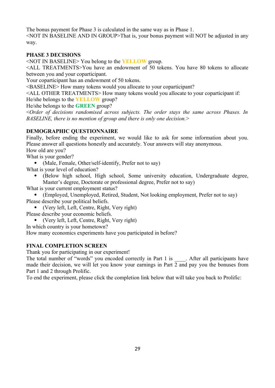The bonus payment for Phase 3 is calculated in the same way as in Phase 1.

<NOT IN BASELINE AND IN GROUP>That is, your bonus payment will NOT be adjusted in any way.

#### **PHASE 3 DECISIONS**

<NOT IN BASELINE> You belong to the **YELLOW** group.

<ALL TREATMENTS>You have an endowment of 50 tokens. You have 80 tokens to allocate between you and your coparticipant.

Your coparticipant has an endowment of 50 tokens.

<BASELINE> How many tokens would you allocate to your coparticipant?

<ALL OTHER TREATMENTS> How many tokens would you allocate to your coparticipant if:

He/she belongs to the **YELLOW** group?

He/she belongs to the **GREEN** group?

<*Order of decisions randomised across subjects. The order stays the same across Phases. In BASELINE, there is no mention of group and there is only one decision.*>

#### **DEMOGRAPHIC QUESTIONNAIRE**

Finally, before ending the experiment, we would like to ask for some information about you. Please answer all questions honestly and accurately. Your answers will stay anonymous. How old are you?

What is your gender?

• (Male, Female, Other/self-identify, Prefer not to say)

What is your level of education?

 (Below high school, High school, Some university education, Undergraduate degree, Master's degree, Doctorate or professional degree, Prefer not to say)

What is your current employment status?

 (Employed, Unemployed, Retired, Student, Not looking employment, Prefer not to say) Please describe your political beliefs.

(Very left, Left, Centre, Right, Very right)

Please describe your economic beliefs.

- (Very left, Left, Centre, Right, Very right)
- In which country is your hometown?

How many economics experiments have you participated in before?

#### **FINAL COMPLETION SCREEN**

Thank you for participating in our experiment!

The total number of "words" you encoded correctly in Part 1 is . After all participants have made their decision, we will let you know your earnings in Part 2 and pay you the bonuses from Part 1 and 2 through Prolific.

To end the experiment, please click the completion link below that will take you back to Prolific: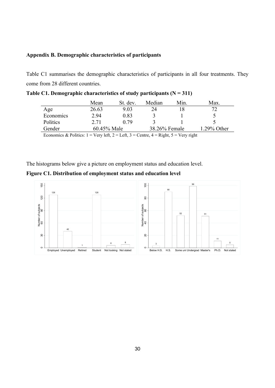#### **Appendix B. Demographic characteristics of participants**

Table C1 summarises the demographic characteristics of participants in all four treatments. They come from 28 different countries.

|                                                                                                                           | Mean        | St. dev. | Median        | Min. | Max.        |  |  |  |
|---------------------------------------------------------------------------------------------------------------------------|-------------|----------|---------------|------|-------------|--|--|--|
| Age                                                                                                                       | 26.63       | 9.03     | 24            |      | 72          |  |  |  |
| Economics                                                                                                                 | 2.94        | 0.83     |               |      |             |  |  |  |
| Politics                                                                                                                  | 2.71        | 0.79     |               |      |             |  |  |  |
| Gender                                                                                                                    | 60.45% Male |          | 38.26% Female |      | 1.29% Other |  |  |  |
| Economics & Politics: $1 = \text{Very left}, 2 = \text{Left}, 3 = \text{Centre}, 4 = \text{Right}, 5 = \text{Very right}$ |             |          |               |      |             |  |  |  |

The histograms below give a picture on employment status and education level.

#### **Figure C1. Distribution of employment status and education level**